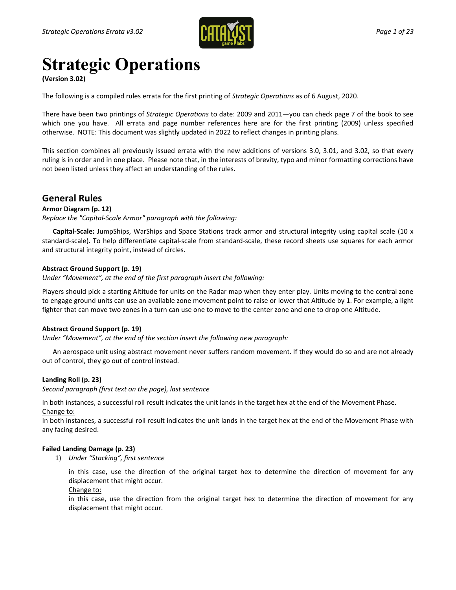

# **Strategic Operations**

**(Version 3.02)**

The following is a compiled rules errata for the first printing of *Strategic Operations* as of 6 August, 2020.

There have been two printings of *Strategic Operations* to date: 2009 and 2011—you can check page 7 of the book to see which one you have. All errata and page number references here are for the first printing (2009) unless specified otherwise. NOTE: This document was slightly updated in 2022 to reflect changes in printing plans.

This section combines all previously issued errata with the new additions of versions 3.0, 3.01, and 3.02, so that every ruling is in order and in one place. Please note that, in the interests of brevity, typo and minor formatting corrections have not been listed unless they affect an understanding of the rules.

# **General Rules**

# **Armor Diagram (p. 12)**

*Replace the "Capital-Scale Armor" paragraph with the following:*

**Capital-Scale:** JumpShips, WarShips and Space Stations track armor and structural integrity using capital scale (10 x standard-scale). To help differentiate capital-scale from standard-scale, these record sheets use squares for each armor and structural integrity point, instead of circles.

# **Abstract Ground Support (p. 19)**

*Under "Movement", at the end of the first paragraph insert the following:*

Players should pick a starting Altitude for units on the Radar map when they enter play. Units moving to the central zone to engage ground units can use an available zone movement point to raise or lower that Altitude by 1. For example, a light fighter that can move two zones in a turn can use one to move to the center zone and one to drop one Altitude.

# **Abstract Ground Support (p. 19)**

*Under "Movement", at the end of the section insert the following new paragraph:*

An aerospace unit using abstract movement never suffers random movement. If they would do so and are not already out of control, they go out of control instead.

# **Landing Roll (p. 23)**

*Second paragraph (first text on the page), last sentence*

In both instances, a successful roll result indicates the unit lands in the target hex at the end of the Movement Phase. Change to:

In both instances, a successful roll result indicates the unit lands in the target hex at the end of the Movement Phase with any facing desired.

# **Failed Landing Damage (p. 23)**

1) *Under "Stacking", first sentence*

in this case, use the direction of the original target hex to determine the direction of movement for any displacement that might occur.

Change to:

in this case, use the direction from the original target hex to determine the direction of movement for any displacement that might occur.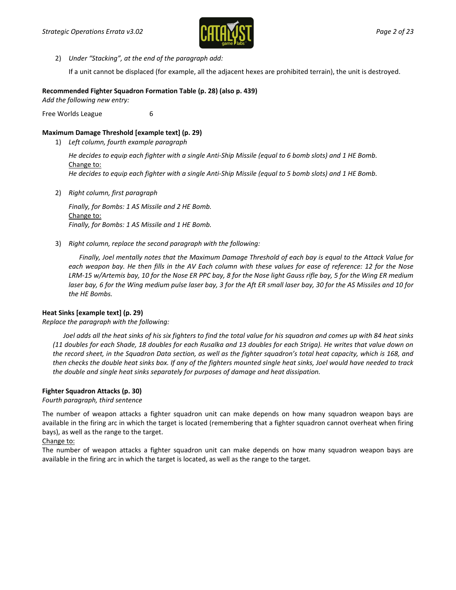

2) *Under "Stacking", at the end of the paragraph add:*

If a unit cannot be displaced (for example, all the adjacent hexes are prohibited terrain), the unit is destroyed.

# **Recommended Fighter Squadron Formation Table (p. 28) (also p. 439)**

*Add the following new entry:* 

Free Worlds League 6

# **Maximum Damage Threshold [example text] (p. 29)**

1) *Left column, fourth example paragraph*

*He decides to equip each fighter with a single Anti-Ship Missile (equal to 6 bomb slots) and 1 HE Bomb.* Change to: *He decides to equip each fighter with a single Anti-Ship Missile (equal to 5 bomb slots) and 1 HE Bomb.*

2) *Right column, first paragraph*

*Finally, for Bombs: 1 AS Missile and 2 HE Bomb.* Change to: *Finally, for Bombs: 1 AS Missile and 1 HE Bomb.*

3) *Right column, replace the second paragraph with the following:*

*Finally, Joel mentally notes that the Maximum Damage Threshold of each bay is equal to the Attack Value for each weapon bay. He then fills in the AV Each column with these values for ease of reference: 12 for the Nose LRM-15 w/Artemis bay, 10 for the Nose ER PPC bay, 8 for the Nose light Gauss rifle bay, 5 for the Wing ER medium laser bay, 6 for the Wing medium pulse laser bay, 3 for the Aft ER small laser bay, 30 for the AS Missiles and 10 for the HE Bombs.*

# **Heat Sinks [example text] (p. 29)**

*Replace the paragraph with the following:*

Joel adds all the heat sinks of his six fighters to find the total value for his squadron and comes up with 84 heat sinks *(11 doubles for each Shade, 18 doubles for each Rusalka and 13 doubles for each Striga). He writes that value down on the record sheet, in the Squadron Data section, as well as the fighter squadron's total heat capacity, which is 168, and then checks the double heat sinks box. If any of the fighters mounted single heat sinks, Joel would have needed to track the double and single heat sinks separately for purposes of damage and heat dissipation.*

# **Fighter Squadron Attacks (p. 30)**

# *Fourth paragraph, third sentence*

The number of weapon attacks a fighter squadron unit can make depends on how many squadron weapon bays are available in the firing arc in which the target is located (remembering that a fighter squadron cannot overheat when firing bays), as well as the range to the target.

# Change to:

The number of weapon attacks a fighter squadron unit can make depends on how many squadron weapon bays are available in the firing arc in which the target is located, as well as the range to the target.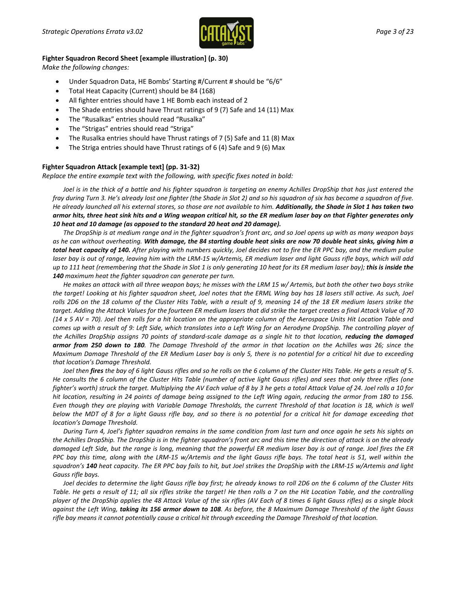

#### **Fighter Squadron Record Sheet [example illustration] (p. 30)**

*Make the following changes:*

- Under Squadron Data, HE Bombs' Starting #/Current # should be "6/6"
- Total Heat Capacity (Current) should be 84 (168)
- All fighter entries should have 1 HE Bomb each instead of 2
- The Shade entries should have Thrust ratings of 9 (7) Safe and 14 (11) Max
- The "Rusalkas" entries should read "Rusalka"
- The "Strigas" entries should read "Striga"
- The Rusalka entries should have Thrust ratings of 7 (5) Safe and 11 (8) Max
- The Striga entries should have Thrust ratings of 6 (4) Safe and 9 (6) Max

#### **Fighter Squadron Attack [example text] (pp. 31-32)**

*Replace the entire example text with the following, with specific fixes noted in bold:*

*Joel is in the thick of a battle and his fighter squadron is targeting an enemy Achilles DropShip that has just entered the fray during Turn 3. He's already lost one fighter (the Shade in Slot 2) and so his squadron of six has become a squadron of five. He already launched all his external stores, so those are not available to him. Additionally, the Shade in Slot 1 has taken two armor hits, three heat sink hits and a Wing weapon critical hit, so the ER medium laser bay on that Fighter generates only 10 heat and 10 damage (as opposed to the standard 20 heat and 20 damage).*

*The DropShip is at medium range and in the fighter squadron's front arc, and so Joel opens up with as many weapon bays as he can without overheating. With damage, the 84 starting double heat sinks are now 70 double heat sinks, giving him a total heat capacity of 140. After playing with numbers quickly, Joel decides not to fire the ER PPC bay, and the medium pulse laser bay is out of range, leaving him with the LRM-15 w/Artemis, ER medium laser and light Gauss rifle bays, which will add up to 111 heat (remembering that the Shade in Slot 1 is only generating 10 heat for its ER medium laser bay); this is inside the 140 maximum heat the fighter squadron can generate per turn.*

*He makes an attack with all three weapon bays; he misses with the LRM 15 w/ Artemis, but both the other two bays strike the target! Looking at his fighter squadron sheet, Joel notes that the ERML Wing bay has 18 lasers still active. As such, Joel rolls 2D6 on the 18 column of the Cluster Hits Table, with a result of 9, meaning 14 of the 18 ER medium lasers strike the target. Adding the Attack Values for the fourteen ER medium lasers that did strike the target creates a final Attack Value of 70 (14 x 5 AV = 70). Joel then rolls for a hit location on the appropriate column of the Aerospace Units Hit Location Table and comes up with a result of 9: Left Side, which translates into a Left Wing for an Aerodyne DropShip. The controlling player of the Achilles DropShip assigns 70 points of standard-scale damage as a single hit to that location, reducing the damaged armor from 250 down to 180. The Damage Threshold of the armor in that location on the Achilles was 26; since the Maximum Damage Threshold of the ER Medium Laser bay is only 5, there is no potential for a critical hit due to exceeding that location's Damage Threshold.*

*Joel then fires the bay of 6 light Gauss rifles and so he rolls on the 6 column of the Cluster Hits Table. He gets a result of 5. He consults the 6 column of the Cluster Hits Table (number of active light Gauss rifles) and sees that only three rifles (one fighter's worth) struck the target. Multiplying the AV Each value of 8 by 3 he gets a total Attack Value of 24. Joel rolls a 10 for hit location, resulting in 24 points of damage being assigned to the Left Wing again, reducing the armor from 180 to 156. Even though they are playing with Variable Damage Thresholds, the current Threshold of that location is 18, which is well below the MDT of 8 for a light Gauss rifle bay, and so there is no potential for a critical hit for damage exceeding that location's Damage Threshold.*

*During Turn 4, Joel's fighter squadron remains in the same condition from last turn and once again he sets his sights on the Achilles DropShip. The DropShip is in the fighter squadron's front arc and this time the direction of attack is on the already damaged Left Side, but the range is long, meaning that the powerful ER medium laser bay is out of range. Joel fires the ER PPC bay this time, along with the LRM-15 w/Artemis and the light Gauss rifle bays. The total heat is 51, well within the squadron's 140 heat capacity. The ER PPC bay fails to hit, but Joel strikes the DropShip with the LRM-15 w/Artemis and light Gauss rifle bays.*

*Joel decides to determine the light Gauss rifle bay first; he already knows to roll 2D6 on the 6 column of the Cluster Hits Table. He gets a result of 11; all six rifles strike the target! He then rolls a 7 on the Hit Location Table, and the controlling player of the DropShip applies the 48 Attack Value of the six rifles (AV Each of 8 times 6 light Gauss rifles) as a single block against the Left Wing, taking its 156 armor down to 108. As before, the 8 Maximum Damage Threshold of the light Gauss rifle bay means it cannot potentially cause a critical hit through exceeding the Damage Threshold of that location.*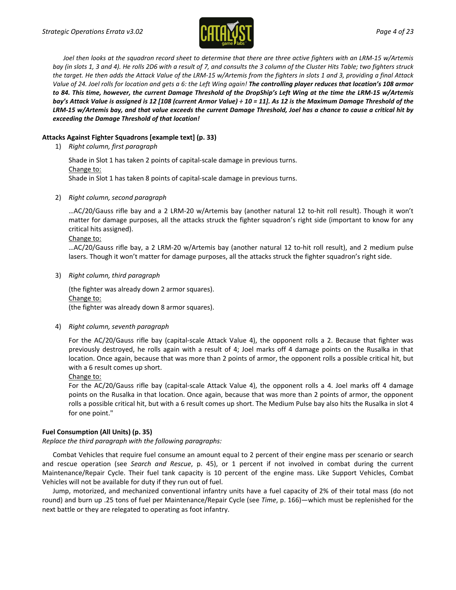

*Joel then looks at the squadron record sheet to determine that there are three active fighters with an LRM-15 w/Artemis bay (in slots 1, 3 and 4). He rolls 2D6 with a result of 7, and consults the 3 column of the Cluster Hits Table; two fighters struck the target. He then adds the Attack Value of the LRM-15 w/Artemis from the fighters in slots 1 and 3, providing a final Attack Value of 24. Joel rolls for location and gets a 6: the Left Wing again! The controlling player reduces that location's 108 armor to 84. This time, however, the current Damage Threshold of the DropShip's Left Wing at the time the LRM-15 w/Artemis bay's Attack Value is assigned is 12 [108 (current Armor Value) ÷ 10 = 11]. As 12 is the Maximum Damage Threshold of the LRM-15 w/Artemis bay, and that value exceeds the current Damage Threshold, Joel has a chance to cause a critical hit by exceeding the Damage Threshold of that location!*

# **Attacks Against Fighter Squadrons [example text] (p. 33)**

1) *Right column, first paragraph*

Shade in Slot 1 has taken 2 points of capital-scale damage in previous turns. Change to: Shade in Slot 1 has taken 8 points of capital-scale damage in previous turns.

2) *Right column, second paragraph*

…AC/20/Gauss rifle bay and a 2 LRM-20 w/Artemis bay (another natural 12 to-hit roll result). Though it won't matter for damage purposes, all the attacks struck the fighter squadron's right side (important to know for any critical hits assigned).

#### Change to:

…AC/20/Gauss rifle bay, a 2 LRM-20 w/Artemis bay (another natural 12 to-hit roll result), and 2 medium pulse lasers. Though it won't matter for damage purposes, all the attacks struck the fighter squadron's right side.

3) *Right column, third paragraph*

(the fighter was already down 2 armor squares). Change to: (the fighter was already down 8 armor squares).

4) *Right column, seventh paragraph*

For the AC/20/Gauss rifle bay (capital-scale Attack Value 4), the opponent rolls a 2. Because that fighter was previously destroyed, he rolls again with a result of 4; Joel marks off 4 damage points on the Rusalka in that location. Once again, because that was more than 2 points of armor, the opponent rolls a possible critical hit, but with a 6 result comes up short.

Change to:

For the AC/20/Gauss rifle bay (capital-scale Attack Value 4), the opponent rolls a 4. Joel marks off 4 damage points on the Rusalka in that location. Once again, because that was more than 2 points of armor, the opponent rolls a possible critical hit, but with a 6 result comes up short. The Medium Pulse bay also hits the Rusalka in slot 4 for one point."

# **Fuel Consumption (All Units) (p. 35)**

*Replace the third paragraph with the following paragraphs:*

Combat Vehicles that require fuel consume an amount equal to 2 percent of their engine mass per scenario or search and rescue operation (see *Search and Rescue*, p. 45), or 1 percent if not involved in combat during the current Maintenance/Repair Cycle. Their fuel tank capacity is 10 percent of the engine mass. Like Support Vehicles, Combat Vehicles will not be available for duty if they run out of fuel.

Jump, motorized, and mechanized conventional infantry units have a fuel capacity of 2% of their total mass (do not round) and burn up .25 tons of fuel per Maintenance/Repair Cycle (see *Time*, p. 166)—which must be replenished for the next battle or they are relegated to operating as foot infantry.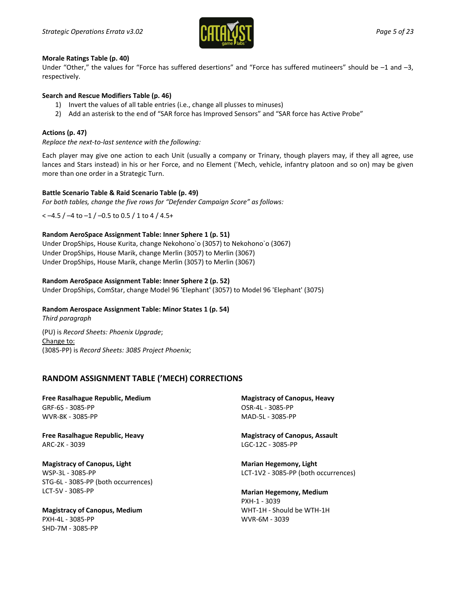

#### **Morale Ratings Table (p. 40)**

Under "Other," the values for "Force has suffered desertions" and "Force has suffered mutineers" should be –1 and –3, respectively.

#### **Search and Rescue Modifiers Table (p. 46)**

- 1) Invert the values of all table entries (i.e., change all plusses to minuses)
- 2) Add an asterisk to the end of "SAR force has Improved Sensors" and "SAR force has Active Probe"

#### **Actions (p. 47)**

*Replace the next-to-last sentence with the following:*

Each player may give one action to each Unit (usually a company or Trinary, though players may, if they all agree, use lances and Stars instead) in his or her Force, and no Element ('Mech, vehicle, infantry platoon and so on) may be given more than one order in a Strategic Turn.

#### **Battle Scenario Table & Raid Scenario Table (p. 49)**

*For both tables, change the five rows for "Defender Campaign Score" as follows:*

 $<-4.5$  /  $-4$  to  $-1$  /  $-0.5$  to 0.5 / 1 to 4 / 4.5+

# **Random AeroSpace Assignment Table: Inner Sphere 1 (p. 51)**

Under DropShips, House Kurita, change Nekohono`o (3057) to Nekohono`o (3067) Under DropShips, House Marik, change Merlin (3057) to Merlin (3067) Under DropShips, House Marik, change Merlin (3057) to Merlin (3067)

#### **Random AeroSpace Assignment Table: Inner Sphere 2 (p. 52)**

Under DropShips, ComStar, change Model 96 'Elephant' (3057) to Model 96 'Elephant' (3075)

# **Random Aerospace Assignment Table: Minor States 1 (p. 54)**

*Third paragraph*

(PU) is *Record Sheets: Phoenix Upgrade*; Change to: (3085-PP) is *Record Sheets: 3085 Project Phoenix*;

# **RANDOM ASSIGNMENT TABLE ('MECH) CORRECTIONS**

**Free Rasalhague Republic, Medium** GRF-6S - 3085-PP WVR-8K - 3085-PP

**Free Rasalhague Republic, Heavy** ARC-2K - 3039

**Magistracy of Canopus, Light** WSP-3L - 3085-PP STG-6L - 3085-PP (both occurrences) LCT-5V - 3085-PP

**Magistracy of Canopus, Medium** PXH-4L - 3085-PP SHD-7M - 3085-PP

**Magistracy of Canopus, Heavy** OSR-4L - 3085-PP MAD-5L - 3085-PP

**Magistracy of Canopus, Assault** LGC-12C - 3085-PP

**Marian Hegemony, Light** LCT-1V2 - 3085-PP (both occurrences)

**Marian Hegemony, Medium** PXH-1 - 3039 WHT-1H - Should be WTH-1H WVR-6M - 3039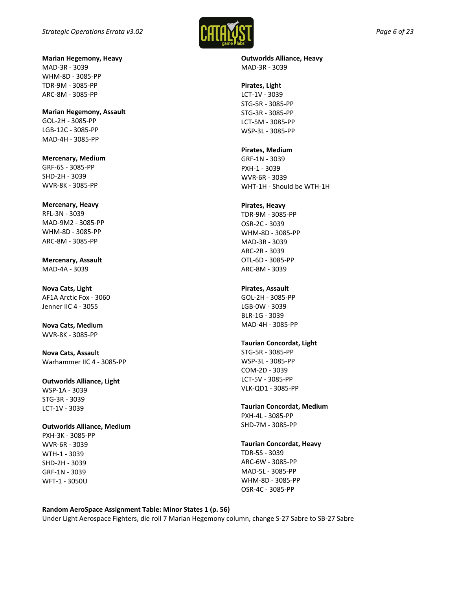

**Marian Hegemony, Heavy** MAD-3R - 3039 WHM-8D - 3085-PP TDR-9M - 3085-PP ARC-8M - 3085-PP

**Marian Hegemony, Assault** GOL-2H - 3085-PP LGB-12C - 3085-PP MAD-4H - 3085-PP

**Mercenary, Medium** GRF-6S - 3085-PP SHD-2H - 3039 WVR-8K - 3085-PP

**Mercenary, Heavy** RFL-3N - 3039 MAD-9M2 - 3085-PP WHM-8D - 3085-PP ARC-8M - 3085-PP

**Mercenary, Assault** MAD-4A - 3039

**Nova Cats, Light** AF1A Arctic Fox - 3060 Jenner IIC 4 - 3055

**Nova Cats, Medium** WVR-8K - 3085-PP

**Nova Cats, Assault** Warhammer IIC 4 - 3085-PP

**Outworlds Alliance, Light** WSP-1A - 3039 STG-3R - 3039 LCT-1V - 3039

#### **Outworlds Alliance, Medium**

PXH-3K - 3085-PP WVR-6R - 3039 WTH-1 - 3039 SHD-2H - 3039 GRF-1N - 3039 WFT-1 - 3050U

**Outworlds Alliance, Heavy** MAD-3R - 3039

# **Pirates, Light**

LCT-1V - 3039 STG-5R - 3085-PP STG-3R - 3085-PP LCT-5M - 3085-PP WSP-3L - 3085-PP

**Pirates, Medium**

GRF-1N - 3039 PXH-1 - 3039 WVR-6R - 3039 WHT-1H - Should be WTH-1H

#### **Pirates, Heavy**

TDR-9M - 3085-PP OSR-2C - 3039 WHM-8D - 3085-PP MAD-3R - 3039 ARC-2R - 3039 OTL-6D - 3085-PP ARC-8M - 3039

#### **Pirates, Assault**

GOL-2H - 3085-PP LGB-0W - 3039 BLR-1G - 3039 MAD-4H - 3085-PP

# **Taurian Concordat, Light**

STG-5R - 3085-PP WSP-3L - 3085-PP COM-2D - 3039 LCT-5V - 3085-PP VLK-QD1 - 3085-PP

# **Taurian Concordat, Medium**

PXH-4L - 3085-PP SHD-7M - 3085-PP

# **Taurian Concordat, Heavy**

TDR-5S - 3039 ARC-6W - 3085-PP MAD-5L - 3085-PP WHM-8D - 3085-PP OSR-4C - 3085-PP

# **Random AeroSpace Assignment Table: Minor States 1 (p. 56)**

Under Light Aerospace Fighters, die roll 7 Marian Hegemony column, change S-27 Sabre to SB-27 Sabre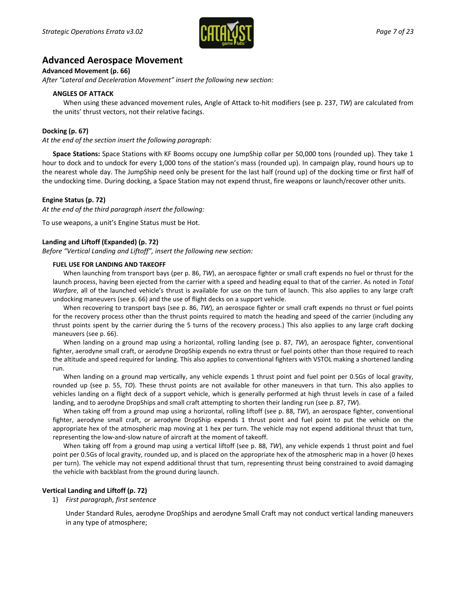

# **Advanced Aerospace Movement**

**Advanced Movement (p. 66)**

*After "Lateral and Deceleration Movement" insert the following new section:*

#### **ANGLES OF ATTACK**

When using these advanced movement rules, Angle of Attack to-hit modifiers (see p. 237, *TW*) are calculated from the units' thrust vectors, not their relative facings.

#### **Docking (p. 67)**

*At the end of the section insert the following paragraph:*

**Space Stations:** Space Stations with KF Booms occupy one JumpShip collar per 50,000 tons (rounded up). They take 1 hour to dock and to undock for every 1,000 tons of the station's mass (rounded up). In campaign play, round hours up to the nearest whole day. The JumpShip need only be present for the last half (round up) of the docking time or first half of the undocking time. During docking, a Space Station may not expend thrust, fire weapons or launch/recover other units.

#### **Engine Status (p. 72)**

*At the end of the third paragraph insert the following:*

To use weapons, a unit's Engine Status must be Hot.

#### **Landing and Liftoff (Expanded) (p. 72)**

*Before "Vertical Landing and Liftoff", insert the following new section:*

#### **FUEL USE FOR LANDING AND TAKEOFF**

When launching from transport bays (per p. 86, *TW*), an aerospace fighter or small craft expends no fuel or thrust for the launch process, having been ejected from the carrier with a speed and heading equal to that of the carrier. As noted in *Total Warfare*, all of the launched vehicle's thrust is available for use on the turn of launch. This also applies to any large craft undocking maneuvers (see p. 66) and the use of flight decks on a support vehicle.

When recovering to transport bays (see p. 86, *TW*), an aerospace fighter or small craft expends no thrust or fuel points for the recovery process other than the thrust points required to match the heading and speed of the carrier (including any thrust points spent by the carrier during the 5 turns of the recovery process.) This also applies to any large craft docking maneuvers (see p. 66).

When landing on a ground map using a horizontal, rolling landing (see p. 87, *TW*), an aerospace fighter, conventional fighter, aerodyne small craft, or aerodyne DropShip expends no extra thrust or fuel points other than those required to reach the altitude and speed required for landing. This also applies to conventional fighters with VSTOL making a shortened landing run.

When landing on a ground map vertically, any vehicle expends 1 thrust point and fuel point per 0.5Gs of local gravity, rounded up (see p. 55, *TO*). These thrust points are not available for other maneuvers in that turn. This also applies to vehicles landing on a flight deck of a support vehicle, which is generally performed at high thrust levels in case of a failed landing, and to aerodyne DropShips and small craft attempting to shorten their landing run (see p. 87, *TW*).

When taking off from a ground map using a horizontal, rolling liftoff (see p. 88, *TW*), an aerospace fighter, conventional fighter, aerodyne small craft, or aerodyne DropShip expends 1 thrust point and fuel point to put the vehicle on the appropriate hex of the atmospheric map moving at 1 hex per turn. The vehicle may not expend additional thrust that turn, representing the low-and-slow nature of aircraft at the moment of takeoff.

When taking off from a ground map using a vertical liftoff (see p. 88, *TW*), any vehicle expends 1 thrust point and fuel point per 0.5Gs of local gravity, rounded up, and is placed on the appropriate hex of the atmospheric map in a hover (0 hexes per turn). The vehicle may not expend additional thrust that turn, representing thrust being constrained to avoid damaging the vehicle with backblast from the ground during launch.

#### **Vertical Landing and Liftoff (p. 72)**

1) *First paragraph, first sentence*

Under Standard Rules, aerodyne DropShips and aerodyne Small Craft may not conduct vertical landing maneuvers in any type of atmosphere;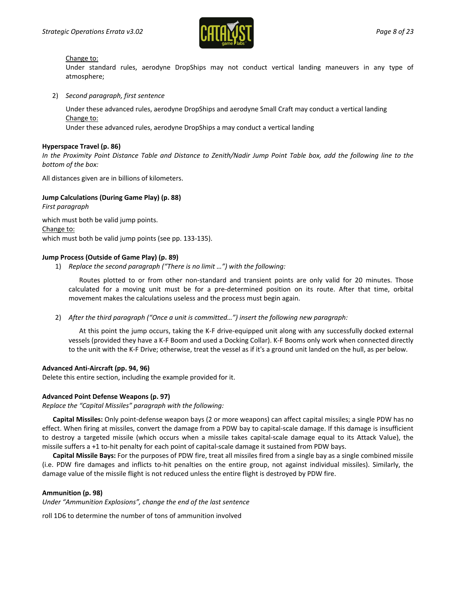

#### Change to:

Under standard rules, aerodyne DropShips may not conduct vertical landing maneuvers in any type of atmosphere;

2) *Second paragraph, first sentence*

Under these advanced rules, aerodyne DropShips and aerodyne Small Craft may conduct a vertical landing Change to:

Under these advanced rules, aerodyne DropShips a may conduct a vertical landing

# **Hyperspace Travel (p. 86)**

*In the Proximity Point Distance Table and Distance to Zenith/Nadir Jump Point Table box, add the following line to the bottom of the box:*

All distances given are in billions of kilometers.

# **Jump Calculations (During Game Play) (p. 88)**

*First paragraph* which must both be valid jump points. Change to: which must both be valid jump points (see pp. 133-135).

#### **Jump Process (Outside of Game Play) (p. 89)**

1) *Replace the second paragraph ("There is no limit …") with the following:*

Routes plotted to or from other non-standard and transient points are only valid for 20 minutes. Those calculated for a moving unit must be for a pre-determined position on its route. After that time, orbital movement makes the calculations useless and the process must begin again.

2) *After the third paragraph ("Once a unit is committed…") insert the following new paragraph:*

At this point the jump occurs, taking the K-F drive-equipped unit along with any successfully docked external vessels (provided they have a K-F Boom and used a Docking Collar). K-F Booms only work when connected directly to the unit with the K-F Drive; otherwise, treat the vessel as if it's a ground unit landed on the hull, as per below.

# **Advanced Anti-Aircraft (pp. 94, 96)**

Delete this entire section, including the example provided for it.

#### **Advanced Point Defense Weapons (p. 97)**

*Replace the "Capital Missiles" paragraph with the following:*

**Capital Missiles:** Only point-defense weapon bays (2 or more weapons) can affect capital missiles; a single PDW has no effect. When firing at missiles, convert the damage from a PDW bay to capital-scale damage. If this damage is insufficient to destroy a targeted missile (which occurs when a missile takes capital-scale damage equal to its Attack Value), the missile suffers a +1 to-hit penalty for each point of capital-scale damage it sustained from PDW bays.

**Capital Missile Bays:** For the purposes of PDW fire, treat all missiles fired from a single bay as a single combined missile (i.e. PDW fire damages and inflicts to-hit penalties on the entire group, not against individual missiles). Similarly, the damage value of the missile flight is not reduced unless the entire flight is destroyed by PDW fire.

#### **Ammunition (p. 98)**

*Under "Ammunition Explosions", change the end of the last sentence*

roll 1D6 to determine the number of tons of ammunition involved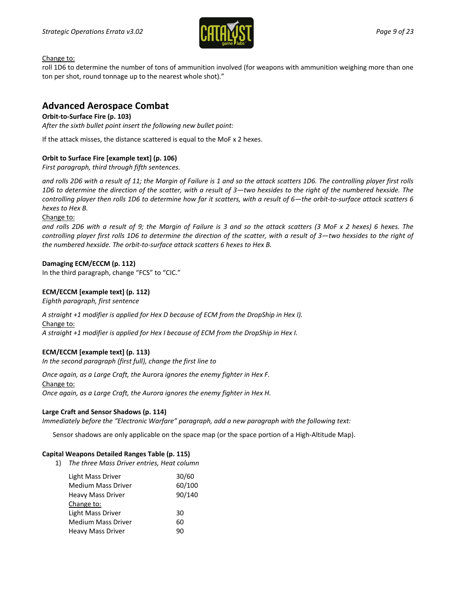

Change to:

roll 1D6 to determine the number of tons of ammunition involved (for weapons with ammunition weighing more than one ton per shot, round tonnage up to the nearest whole shot)."

# **Advanced Aerospace Combat**

# **Orbit-to-Surface Fire (p. 103)**

*After the sixth bullet point insert the following new bullet point:*

If the attack misses, the distance scattered is equal to the MoF x 2 hexes.

# **Orbit to Surface Fire [example text] (p. 106)**

*First paragraph, third through fifth sentences.*

*and rolls 2D6 with a result of 11; the Margin of Failure is 1 and so the attack scatters 1D6. The controlling player first rolls 1D6 to determine the direction of the scatter, with a result of 3—two hexsides to the right of the numbered hexside. The controlling player then rolls 1D6 to determine how far it scatters, with a result of 6—the orbit-to-surface attack scatters 6 hexes to Hex B.*

Change to:

*and rolls 2D6 with a result of 9; the Margin of Failure is 3 and so the attack scatters (3 MoF x 2 hexes) 6 hexes. The controlling player first rolls 1D6 to determine the direction of the scatter, with a result of 3—two hexsides to the right of the numbered hexside. The orbit-to-surface attack scatters 6 hexes to Hex B.*

# **Damaging ECM/ECCM (p. 112)**

In the third paragraph, change "FCS" to "CIC."

# **ECM/ECCM [example text] (p. 112)**

*Eighth paragraph, first sentence*

*A straight +1 modifier is applied for Hex D because of ECM from the DropShip in Hex I).* Change to: *A straight +1 modifier is applied for Hex I because of ECM from the DropShip in Hex I.*

# **ECM/ECCM [example text] (p. 113)**

*In the second paragraph (first full), change the first line to*

*Once again, as a Large Craft, the* Aurora *ignores the enemy fighter in Hex F.* Change to: *Once again, as a Large Craft, the Aurora ignores the enemy fighter in Hex H.*

# **Large Craft and Sensor Shadows (p. 114)**

*Immediately before the "Electronic Warfare" paragraph, add a new paragraph with the following text:*

Sensor shadows are only applicable on the space map (or the space portion of a High-Altitude Map).

# **Capital Weapons Detailed Ranges Table (p. 115)**

1) *The three Mass Driver entries, Heat column*

| 30/60  |
|--------|
| 60/100 |
| 90/140 |
|        |
| 30     |
| 60     |
| 90     |
|        |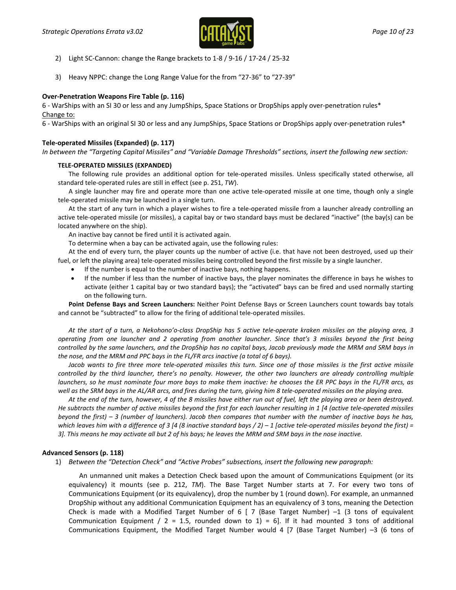

- 2) Light SC-Cannon: change the Range brackets to 1-8 / 9-16 / 17-24 / 25-32
- 3) Heavy NPPC: change the Long Range Value for the from "27-36" to "27-39"

#### **Over-Penetration Weapons Fire Table (p. 116)**

6 - WarShips with an SI 30 or less and any JumpShips, Space Stations or DropShips apply over-penetration rules\* Change to:

6 - WarShips with an original SI 30 or less and any JumpShips, Space Stations or DropShips apply over-penetration rules\*

#### **Tele-operated Missiles (Expanded) (p. 117)**

*In between the "Targeting Capital Missiles" and "Variable Damage Thresholds" sections, insert the following new section:*

#### **TELE-OPERATED MISSILES (EXPANDED)**

The following rule provides an additional option for tele-operated missiles. Unless specifically stated otherwise, all standard tele-operated rules are still in effect (see p. 251, *TW*).

A single launcher may fire and operate more than one active tele-operated missile at one time, though only a single tele-operated missile may be launched in a single turn.

At the start of any turn in which a player wishes to fire a tele-operated missile from a launcher already controlling an active tele-operated missile (or missiles), a capital bay or two standard bays must be declared "inactive" (the bay(s) can be located anywhere on the ship).

An inactive bay cannot be fired until it is activated again.

To determine when a bay can be activated again, use the following rules:

At the end of every turn, the player counts up the number of active (i.e. that have not been destroyed, used up their fuel, or left the playing area) tele-operated missiles being controlled beyond the first missile by a single launcher.

- If the number is equal to the number of inactive bays, nothing happens.
- If the number if less than the number of inactive bays, the player nominates the difference in bays he wishes to activate (either 1 capital bay or two standard bays); the "activated" bays can be fired and used normally starting on the following turn.

**Point Defense Bays and Screen Launchers:** Neither Point Defense Bays or Screen Launchers count towards bay totals and cannot be "subtracted" to allow for the firing of additional tele-operated missiles.

*At the start of a turn, a Nekohono'o-class DropShip has 5 active tele-operate kraken missiles on the playing area, 3 operating from one launcher and 2 operating from another launcher. Since that's 3 missiles beyond the first being controlled by the same launchers, and the DropShip has no capital bays, Jacob previously made the MRM and SRM bays in the nose, and the MRM and PPC bays in the FL/FR arcs inactive (a total of 6 bays).*

Jacob wants to fire three more tele-operated missiles this turn. Since one of those missiles is the first active missile *controlled by the third launcher, there's no penalty. However, the other two launchers are already controlling multiple launchers, so he must nominate four more bays to make them inactive: he chooses the ER PPC bays in the FL/FR arcs, as well as the SRM bays in the AL/AR arcs, and fires during the turn, giving him 8 tele-operated missiles on the playing area.*

*At the end of the turn, however, 4 of the 8 missiles have either run out of fuel, left the playing area or been destroyed. He subtracts the number of active missiles beyond the first for each launcher resulting in 1 [4 (active tele-operated missiles beyond the first) – 3 (number of launchers). Jacob then compares that number with the number of inactive bays he has, which leaves him with a difference of 3 [4 (8 inactive standard bays / 2) – 1 [active tele-operated missiles beyond the first) = 3]. This means he may activate all but 2 of his bays; he leaves the MRM and SRM bays in the nose inactive.*

#### **Advanced Sensors (p. 118)**

1) *Between the "Detection Check" and "Active Probes" subsections, insert the following new paragraph:*

An unmanned unit makes a Detection Check based upon the amount of Communications Equipment (or its equivalency) it mounts (see p. 212, *TM*). The Base Target Number starts at 7. For every two tons of Communications Equipment (or its equivalency), drop the number by 1 (round down). For example, an unmanned DropShip without any additional Communication Equipment has an equivalency of 3 tons, meaning the Detection Check is made with a Modified Target Number of 6  $[7]$  (Base Target Number) -1 (3 tons of equivalent Communication Equipment / 2 = 1.5, rounded down to 1) = 6]. If it had mounted 3 tons of additional Communications Equipment, the Modified Target Number would 4 [7 (Base Target Number) –3 (6 tons of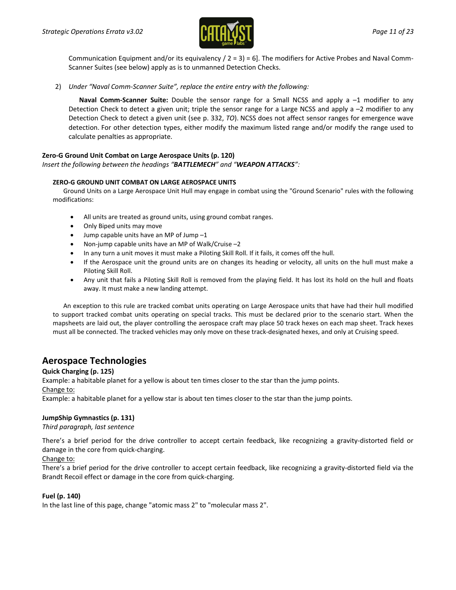

Communication Equipment and/or its equivalency  $/ 2 = 3$  = 6]. The modifiers for Active Probes and Naval Comm-Scanner Suites (see below) apply as is to unmanned Detection Checks.

2) *Under "Naval Comm-Scanner Suite", replace the entire entry with the following:*

**Naval Comm-Scanner Suite:** Double the sensor range for a Small NCSS and apply a –1 modifier to any Detection Check to detect a given unit; triple the sensor range for a Large NCSS and apply a –2 modifier to any Detection Check to detect a given unit (see p. 332, *TO*). NCSS does not affect sensor ranges for emergence wave detection. For other detection types, either modify the maximum listed range and/or modify the range used to calculate penalties as appropriate.

# **Zero-G Ground Unit Combat on Large Aerospace Units (p. 120)**

#### *Insert the following between the headings "BATTLEMECH" and "WEAPON ATTACKS":*

#### **ZERO-G GROUND UNIT COMBAT ON LARGE AEROSPACE UNITS**

Ground Units on a Large Aerospace Unit Hull may engage in combat using the "Ground Scenario" rules with the following modifications:

- All units are treated as ground units, using ground combat ranges.
- Only Biped units may move
- Jump capable units have an MP of Jump  $-1$
- Non-jump capable units have an MP of Walk/Cruise –2
- In any turn a unit moves it must make a Piloting Skill Roll. If it fails, it comes off the hull.
- If the Aerospace unit the ground units are on changes its heading or velocity, all units on the hull must make a Piloting Skill Roll.
- Any unit that fails a Piloting Skill Roll is removed from the playing field. It has lost its hold on the hull and floats away. It must make a new landing attempt.

An exception to this rule are tracked combat units operating on Large Aerospace units that have had their hull modified to support tracked combat units operating on special tracks. This must be declared prior to the scenario start. When the mapsheets are laid out, the player controlling the aerospace craft may place 50 track hexes on each map sheet. Track hexes must all be connected. The tracked vehicles may only move on these track-designated hexes, and only at Cruising speed.

# **Aerospace Technologies**

#### **Quick Charging (p. 125)**

Example: a habitable planet for a yellow is about ten times closer to the star than the jump points. Change to:

Example: a habitable planet for a yellow star is about ten times closer to the star than the jump points.

# **JumpShip Gymnastics (p. 131)**

#### *Third paragraph, last sentence*

There's a brief period for the drive controller to accept certain feedback, like recognizing a gravity-distorted field or damage in the core from quick-charging.

#### Change to:

There's a brief period for the drive controller to accept certain feedback, like recognizing a gravity-distorted field via the Brandt Recoil effect or damage in the core from quick-charging.

# **Fuel (p. 140)**

In the last line of this page, change "atomic mass 2" to "molecular mass 2".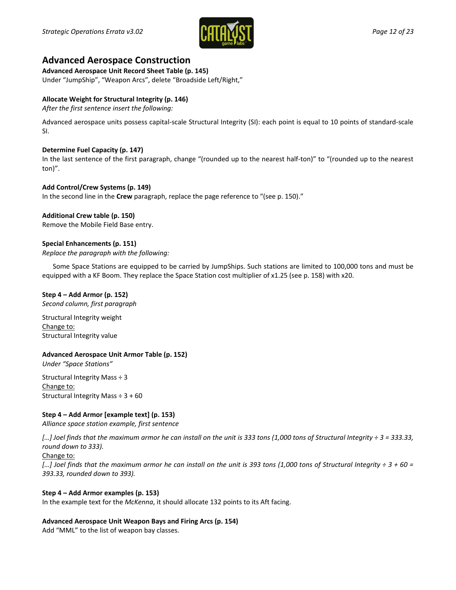

# **Advanced Aerospace Construction**

**Advanced Aerospace Unit Record Sheet Table (p. 145)**

Under "JumpShip", "Weapon Arcs", delete "Broadside Left/Right,"

# **Allocate Weight for Structural Integrity (p. 146)**

*After the first sentence insert the following:*

Advanced aerospace units possess capital-scale Structural Integrity (SI): each point is equal to 10 points of standard-scale SI.

# **Determine Fuel Capacity (p. 147)**

In the last sentence of the first paragraph, change "(rounded up to the nearest half-ton)" to "(rounded up to the nearest ton)".

# **Add Control/Crew Systems (p. 149)**

In the second line in the **Crew** paragraph, replace the page reference to "(see p. 150)."

# **Additional Crew table (p. 150)**

Remove the Mobile Field Base entry.

# **Special Enhancements (p. 151)**

*Replace the paragraph with the following:*

Some Space Stations are equipped to be carried by JumpShips. Such stations are limited to 100,000 tons and must be equipped with a KF Boom. They replace the Space Station cost multiplier of x1.25 (see p. 158) with x20.

# **Step 4 – Add Armor (p. 152)**

*Second column, first paragraph*

Structural Integrity weight Change to: Structural Integrity value

# **Advanced Aerospace Unit Armor Table (p. 152)**

*Under "Space Stations"*

Structural Integrity Mass ÷ 3 Change to: Structural Integrity Mass ÷ 3 + 60

# **Step 4 – Add Armor [example text] (p. 153)**

*Alliance space station example, first sentence*

*[…] Joel finds that the maximum armor he can install on the unit is 333 tons (1,000 tons of Structural Integrity ÷ 3 = 333.33, round down to 333).*

# Change to:

*[…] Joel finds that the maximum armor he can install on the unit is 393 tons (1,000 tons of Structural Integrity ÷ 3 + 60 = 393.33, rounded down to 393).*

# **Step 4 – Add Armor examples (p. 153)**

In the example text for the *McKenna*, it should allocate 132 points to its Aft facing.

# **Advanced Aerospace Unit Weapon Bays and Firing Arcs (p. 154)**

Add "MML" to the list of weapon bay classes.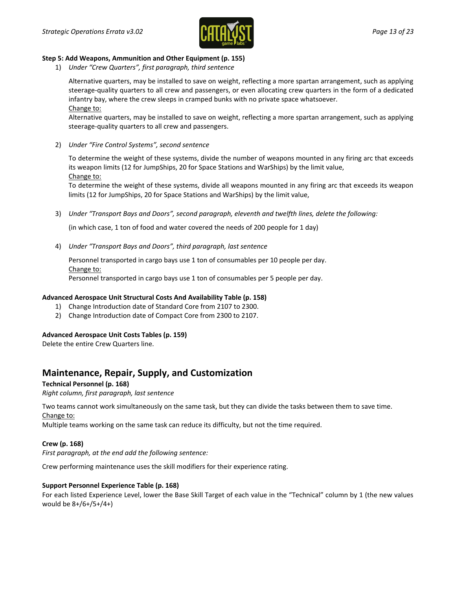

# **Step 5: Add Weapons, Ammunition and Other Equipment (p. 155)**

1) *Under "Crew Quarters", first paragraph, third sentence*

Alternative quarters, may be installed to save on weight, reflecting a more spartan arrangement, such as applying steerage-quality quarters to all crew and passengers, or even allocating crew quarters in the form of a dedicated infantry bay, where the crew sleeps in cramped bunks with no private space whatsoever. Change to:

Alternative quarters, may be installed to save on weight, reflecting a more spartan arrangement, such as applying steerage-quality quarters to all crew and passengers.

2) *Under "Fire Control Systems", second sentence*

To determine the weight of these systems, divide the number of weapons mounted in any firing arc that exceeds its weapon limits (12 for JumpShips, 20 for Space Stations and WarShips) by the limit value, Change to:

To determine the weight of these systems, divide all weapons mounted in any firing arc that exceeds its weapon limits (12 for JumpShips, 20 for Space Stations and WarShips) by the limit value,

3) *Under "Transport Bays and Doors", second paragraph, eleventh and twelfth lines, delete the following:*

(in which case, 1 ton of food and water covered the needs of 200 people for 1 day)

4) *Under "Transport Bays and Doors", third paragraph, last sentence*

Personnel transported in cargo bays use 1 ton of consumables per 10 people per day. Change to:

Personnel transported in cargo bays use 1 ton of consumables per 5 people per day.

# **Advanced Aerospace Unit Structural Costs And Availability Table (p. 158)**

- 1) Change Introduction date of Standard Core from 2107 to 2300.
- 2) Change Introduction date of Compact Core from 2300 to 2107.

#### **Advanced Aerospace Unit Costs Tables (p. 159)**

Delete the entire Crew Quarters line.

# **Maintenance, Repair, Supply, and Customization**

**Technical Personnel (p. 168)**

*Right column, first paragraph, last sentence*

Two teams cannot work simultaneously on the same task, but they can divide the tasks between them to save time. Change to:

Multiple teams working on the same task can reduce its difficulty, but not the time required.

# **Crew (p. 168)**

*First paragraph, at the end add the following sentence:*

Crew performing maintenance uses the skill modifiers for their experience rating.

#### **Support Personnel Experience Table (p. 168)**

For each listed Experience Level, lower the Base Skill Target of each value in the "Technical" column by 1 (the new values would be 8+/6+/5+/4+)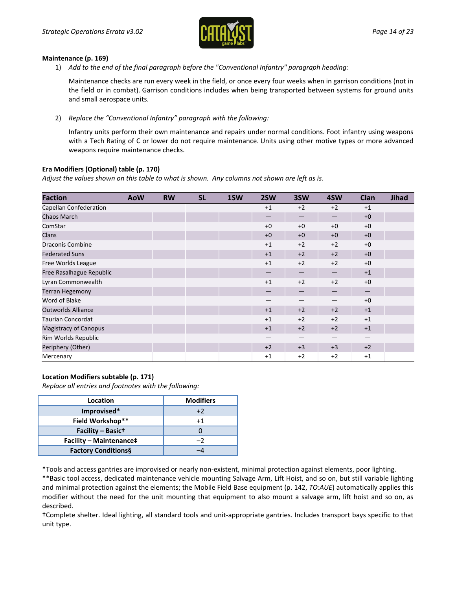

#### **Maintenance (p. 169)**

1) *Add to the end of the final paragraph before the "Conventional Infantry" paragraph heading:*

Maintenance checks are run every week in the field, or once every four weeks when in garrison conditions (not in the field or in combat). Garrison conditions includes when being transported between systems for ground units and small aerospace units.

2) *Replace the "Conventional Infantry" paragraph with the following:*

Infantry units perform their own maintenance and repairs under normal conditions. Foot infantry using weapons with a Tech Rating of C or lower do not require maintenance. Units using other motive types or more advanced weapons require maintenance checks.

# **Era Modifiers (Optional) table (p. 170)**

*Adjust the values shown on this table to what is shown. Any columns not shown are left as is.*

| <b>Faction</b>               | <b>AoW</b> | <b>RW</b> | <b>SL</b> | 1SW | 2SW                      | 3SW  | 4SW  | Clan                   | <b>Jihad</b> |
|------------------------------|------------|-----------|-----------|-----|--------------------------|------|------|------------------------|--------------|
| Capellan Confederation       |            |           |           |     | $+1$                     | $+2$ | $+2$ | $+1$                   |              |
| Chaos March                  |            |           |           |     |                          |      |      | $+0$                   |              |
| ComStar                      |            |           |           |     | $+0$                     | $+0$ | $+0$ | $+0$                   |              |
| <b>Clans</b>                 |            |           |           |     | $+0$                     | $+0$ | $+0$ | $+0$                   |              |
| <b>Draconis Combine</b>      |            |           |           |     | $+1$                     | $+2$ | $+2$ | $+0$                   |              |
| <b>Federated Suns</b>        |            |           |           |     | $+1$                     | $+2$ | $+2$ | $+0$                   |              |
| Free Worlds League           |            |           |           |     | $+1$                     | $+2$ | $+2$ | $+0$                   |              |
| Free Rasalhague Republic     |            |           |           |     | $\overline{\phantom{0}}$ |      |      | $+1$                   |              |
| Lyran Commonwealth           |            |           |           |     | $+1$                     | $+2$ | $+2$ | $+0$                   |              |
| <b>Terran Hegemony</b>       |            |           |           |     |                          |      |      | $\qquad \qquad \qquad$ |              |
| Word of Blake                |            |           |           |     |                          |      |      | $+0$                   |              |
| <b>Outworlds Alliance</b>    |            |           |           |     | $+1$                     | $+2$ | $+2$ | $+1$                   |              |
| <b>Taurian Concordat</b>     |            |           |           |     | $+1$                     | $+2$ | $+2$ | $+1$                   |              |
| <b>Magistracy of Canopus</b> |            |           |           |     | $+1$                     | $+2$ | $+2$ | $+1$                   |              |
| Rim Worlds Republic          |            |           |           |     |                          | —    |      |                        |              |
| Periphery (Other)            |            |           |           |     | $+2$                     | $+3$ | $+3$ | $+2$                   |              |
| Mercenary                    |            |           |           |     | $+1$                     | $+2$ | $+2$ | $+1$                   |              |

# **Location Modifiers subtable (p. 171)**

*Replace all entries and footnotes with the following:*

| Location                       | <b>Modifiers</b> |
|--------------------------------|------------------|
| Improvised*                    | $+2$             |
| Field Workshop**               | $+1$             |
| Facility - Basict              |                  |
| <b>Facility - Maintenance‡</b> | -2               |
| <b>Factory Conditions§</b>     |                  |

\*Tools and access gantries are improvised or nearly non-existent, minimal protection against elements, poor lighting.

\*\*Basic tool access, dedicated maintenance vehicle mounting Salvage Arm, Lift Hoist, and so on, but still variable lighting and minimal protection against the elements; the Mobile Field Base equipment (p. 142, *TO:AUE*) automatically applies this modifier without the need for the unit mounting that equipment to also mount a salvage arm, lift hoist and so on, as described.

†Complete shelter. Ideal lighting, all standard tools and unit-appropriate gantries. Includes transport bays specific to that unit type.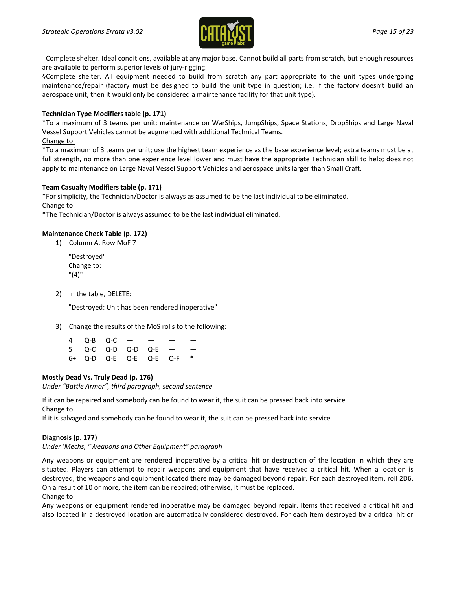

‡Complete shelter. Ideal conditions, available at any major base. Cannot build all parts from scratch, but enough resources are available to perform superior levels of jury-rigging.

§Complete shelter. All equipment needed to build from scratch any part appropriate to the unit types undergoing maintenance/repair (factory must be designed to build the unit type in question; i.e. if the factory doesn't build an aerospace unit, then it would only be considered a maintenance facility for that unit type).

# **Technician Type Modifiers table (p. 171)**

\*To a maximum of 3 teams per unit; maintenance on WarShips, JumpShips, Space Stations, DropShips and Large Naval Vessel Support Vehicles cannot be augmented with additional Technical Teams.

# Change to:

\*To a maximum of 3 teams per unit; use the highest team experience as the base experience level; extra teams must be at full strength, no more than one experience level lower and must have the appropriate Technician skill to help; does not apply to maintenance on Large Naval Vessel Support Vehicles and aerospace units larger than Small Craft.

# **Team Casualty Modifiers table (p. 171)**

\*For simplicity, the Technician/Doctor is always as assumed to be the last individual to be eliminated. Change to:

\*The Technician/Doctor is always assumed to be the last individual eliminated.

# **Maintenance Check Table (p. 172)**

1) Column A, Row MoF 7+

"Destroyed" Change to: "(4)"

2) In the table, DELETE:

"Destroyed: Unit has been rendered inoperative"

3) Change the results of the MoS rolls to the following:

|  | 4 Q-B Q-C — — —          |  |  |
|--|--------------------------|--|--|
|  | 5 Q-C Q-D Q-D Q-E — —    |  |  |
|  | 6+ Q-D Q-E Q-E Q-E Q-F * |  |  |

# **Mostly Dead Vs. Truly Dead (p. 176)**

*Under "Battle Armor", third paragraph, second sentence*

If it can be repaired and somebody can be found to wear it, the suit can be pressed back into service Change to:

If it is salvaged and somebody can be found to wear it, the suit can be pressed back into service

# **Diagnosis (p. 177)**

*Under 'Mechs, "Weapons and Other Equipment" paragraph*

Any weapons or equipment are rendered inoperative by a critical hit or destruction of the location in which they are situated. Players can attempt to repair weapons and equipment that have received a critical hit. When a location is destroyed, the weapons and equipment located there may be damaged beyond repair. For each destroyed item, roll 2D6. On a result of 10 or more, the item can be repaired; otherwise, it must be replaced. Change to:

Any weapons or equipment rendered inoperative may be damaged beyond repair. Items that received a critical hit and also located in a destroyed location are automatically considered destroyed. For each item destroyed by a critical hit or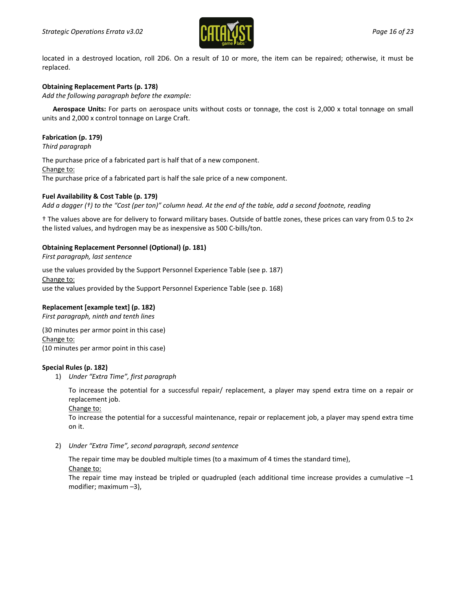

located in a destroyed location, roll 2D6. On a result of 10 or more, the item can be repaired; otherwise, it must be replaced.

# **Obtaining Replacement Parts (p. 178)**

*Add the following paragraph before the example:*

**Aerospace Units:** For parts on aerospace units without costs or tonnage, the cost is 2,000 x total tonnage on small units and 2,000 x control tonnage on Large Craft.

# **Fabrication (p. 179)**

*Third paragraph*

The purchase price of a fabricated part is half that of a new component. Change to: The purchase price of a fabricated part is half the sale price of a new component.

# **Fuel Availability & Cost Table (p. 179)**

*Add a dagger (†) to the "Cost (per ton)" column head. At the end of the table, add a second footnote, reading*

† The values above are for delivery to forward military bases. Outside of battle zones, these prices can vary from 0.5 to 2× the listed values, and hydrogen may be as inexpensive as 500 C-bills/ton.

# **Obtaining Replacement Personnel (Optional) (p. 181)**

*First paragraph, last sentence*

use the values provided by the Support Personnel Experience Table (see p. 187) Change to: use the values provided by the Support Personnel Experience Table (see p. 168)

# **Replacement [example text] (p. 182)**

*First paragraph, ninth and tenth lines*

(30 minutes per armor point in this case) Change to: (10 minutes per armor point in this case)

# **Special Rules (p. 182)**

1) *Under "Extra Time", first paragraph*

To increase the potential for a successful repair/ replacement, a player may spend extra time on a repair or replacement job.

Change to:

To increase the potential for a successful maintenance, repair or replacement job, a player may spend extra time on it.

2) *Under "Extra Time", second paragraph, second sentence*

The repair time may be doubled multiple times (to a maximum of 4 times the standard time),

Change to:

The repair time may instead be tripled or quadrupled (each additional time increase provides a cumulative  $-1$ modifier; maximum –3),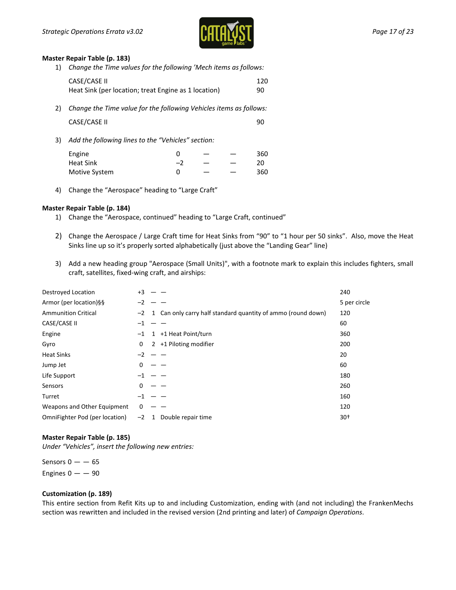

#### **Master Repair Table (p. 183)**

1) *Change the Time values for the following 'Mech items as follows:*

|    | CASE/CASE II<br>Heat Sink (per location; treat Engine as 1 location) | 120<br>90 |
|----|----------------------------------------------------------------------|-----------|
| 2) | Change the Time value for the following Vehicles items as follows:   |           |
|    | CASE/CASE II                                                         | 90        |

3) *Add the following lines to the "Vehicles" section:*

| Engine        |            |  | 360 |
|---------------|------------|--|-----|
| Heat Sink     | <u>— .</u> |  |     |
| Motive System |            |  | 360 |

4) Change the "Aerospace" heading to "Large Craft"

#### **Master Repair Table (p. 184)**

- 1) Change the "Aerospace, continued" heading to "Large Craft, continued"
- 2) Change the Aerospace / Large Craft time for Heat Sinks from "90" to "1 hour per 50 sinks". Also, move the Heat Sinks line up so it's properly sorted alphabetically (just above the "Landing Gear" line)
- 3) Add a new heading group "Aerospace (Small Units)", with a footnote mark to explain this includes fighters, small craft, satellites, fixed-wing craft, and airships:

| Destroyed Location             | $+3$    |                                                              | 240          |
|--------------------------------|---------|--------------------------------------------------------------|--------------|
| Armor (per location)§§         | $-2$    |                                                              | 5 per circle |
| <b>Ammunition Critical</b>     | $-2$    | 1 Can only carry half standard quantity of ammo (round down) | 120          |
| CASE/CASE II                   | $^{-1}$ |                                                              | 60           |
| Engine                         | $-1$    | +1 Heat Point/turn<br>1                                      | 360          |
| Gyro                           | 0       | 2 +1 Piloting modifier                                       | 200          |
| <b>Heat Sinks</b>              | $-2$    |                                                              | 20           |
| Jump Jet                       | 0       |                                                              | 60           |
| Life Support                   | -1      |                                                              | 180          |
| Sensors                        | 0       |                                                              | 260          |
| Turret                         | $-1$    |                                                              | 160          |
| Weapons and Other Equipment    | 0       |                                                              | 120          |
| OmniFighter Pod (per location) | $-2$    | Double repair time<br>1                                      | $30+$        |

#### **Master Repair Table (p. 185)**

*Under "Vehicles", insert the following new entries:*

Sensors  $0 - -65$ Engines  $0 - -90$ 

#### **Customization (p. 189)**

This entire section from Refit Kits up to and including Customization, ending with (and not including) the FrankenMechs section was rewritten and included in the revised version (2nd printing and later) of *Campaign Operations*.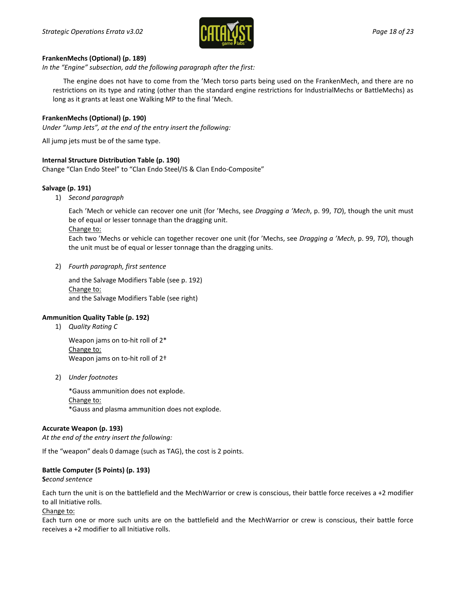

#### **FrankenMechs (Optional) (p. 189)**

*In the "Engine" subsection, add the following paragraph after the first:*

The engine does not have to come from the 'Mech torso parts being used on the FrankenMech, and there are no restrictions on its type and rating (other than the standard engine restrictions for IndustrialMechs or BattleMechs) as long as it grants at least one Walking MP to the final 'Mech.

# **FrankenMechs (Optional) (p. 190)**

*Under "Jump Jets", at the end of the entry insert the following:*

All jump jets must be of the same type.

#### **Internal Structure Distribution Table (p. 190)**

Change "Clan Endo Steel" to "Clan Endo Steel/IS & Clan Endo-Composite"

#### **Salvage (p. 191)**

1) *Second paragraph*

Each 'Mech or vehicle can recover one unit (for 'Mechs, see *Dragging a 'Mech*, p. 99, *TO*), though the unit must be of equal or lesser tonnage than the dragging unit.

Change to:

Each two 'Mechs or vehicle can together recover one unit (for 'Mechs, see *Dragging a 'Mech*, p. 99, *TO*), though the unit must be of equal or lesser tonnage than the dragging units.

2) *Fourth paragraph, first sentence*

and the Salvage Modifiers Table (see p. 192) Change to: and the Salvage Modifiers Table (see right)

# **Ammunition Quality Table (p. 192)**

1) *Quality Rating C*

Weapon jams on to-hit roll of 2\* Change to: Weapon jams on to-hit roll of 2†

2) *Under footnotes*

\*Gauss ammunition does not explode. Change to: \*Gauss and plasma ammunition does not explode.

#### **Accurate Weapon (p. 193)**

*At the end of the entry insert the following:*

If the "weapon" deals 0 damage (such as TAG), the cost is 2 points.

# **Battle Computer (5 Points) (p. 193)**

**S***econd sentence*

Each turn the unit is on the battlefield and the MechWarrior or crew is conscious, their battle force receives a +2 modifier to all Initiative rolls.

Change to:

Each turn one or more such units are on the battlefield and the MechWarrior or crew is conscious, their battle force receives a +2 modifier to all Initiative rolls.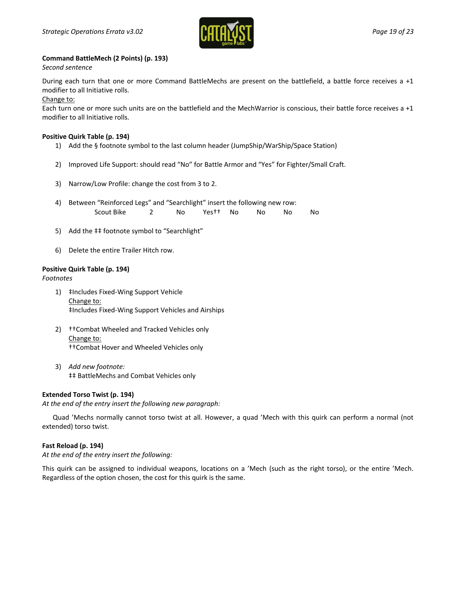

# **Command BattleMech (2 Points) (p. 193)**

*Second sentence*

During each turn that one or more Command BattleMechs are present on the battlefield, a battle force receives a +1 modifier to all Initiative rolls.

Change to:

Each turn one or more such units are on the battlefield and the MechWarrior is conscious, their battle force receives a +1 modifier to all Initiative rolls.

#### **Positive Quirk Table (p. 194)**

- 1) Add the § footnote symbol to the last column header (JumpShip/WarShip/Space Station)
- 2) Improved Life Support: should read "No" for Battle Armor and "Yes" for Fighter/Small Craft.
- 3) Narrow/Low Profile: change the cost from 3 to 2.
- 4) Between "Reinforced Legs" and "Searchlight" insert the following new row: Scout Bike 2 No Yes†† No No No No
- 5) Add the ‡‡ footnote symbol to "Searchlight"
- 6) Delete the entire Trailer Hitch row.

#### **Positive Quirk Table (p. 194)**

*Footnotes*

- 1) ‡Includes Fixed-Wing Support Vehicle Change to: ‡Includes Fixed-Wing Support Vehicles and Airships
- 2) ††Combat Wheeled and Tracked Vehicles only Change to: ††Combat Hover and Wheeled Vehicles only
- 3) *Add new footnote:* ‡‡ BattleMechs and Combat Vehicles only

# **Extended Torso Twist (p. 194)**

*At the end of the entry insert the following new paragraph:*

Quad 'Mechs normally cannot torso twist at all. However, a quad 'Mech with this quirk can perform a normal (not extended) torso twist.

# **Fast Reload (p. 194)**

*At the end of the entry insert the following:*

This quirk can be assigned to individual weapons, locations on a 'Mech (such as the right torso), or the entire 'Mech. Regardless of the option chosen, the cost for this quirk is the same.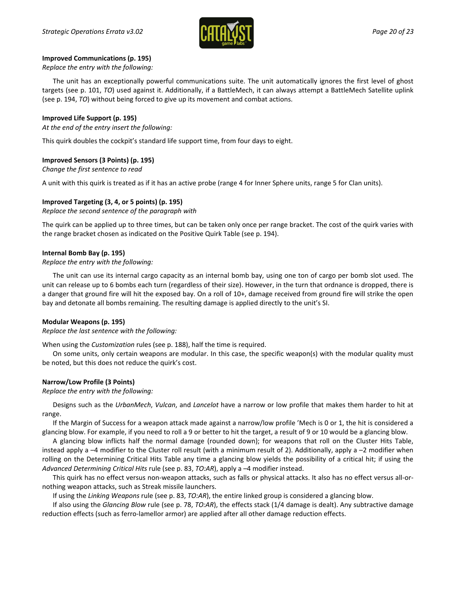

#### **Improved Communications (p. 195)**

#### *Replace the entry with the following:*

The unit has an exceptionally powerful communications suite. The unit automatically ignores the first level of ghost targets (see p. 101, *TO*) used against it. Additionally, if a BattleMech, it can always attempt a BattleMech Satellite uplink (see p. 194, *TO*) without being forced to give up its movement and combat actions.

# **Improved Life Support (p. 195)**

#### *At the end of the entry insert the following:*

This quirk doubles the cockpit's standard life support time, from four days to eight.

# **Improved Sensors (3 Points) (p. 195)**

*Change the first sentence to read*

A unit with this quirk is treated as if it has an active probe (range 4 for Inner Sphere units, range 5 for Clan units).

# **Improved Targeting (3, 4, or 5 points) (p. 195)**

*Replace the second sentence of the paragraph with*

The quirk can be applied up to three times, but can be taken only once per range bracket. The cost of the quirk varies with the range bracket chosen as indicated on the Positive Quirk Table (see p. 194).

#### **Internal Bomb Bay (p. 195)**

#### *Replace the entry with the following:*

The unit can use its internal cargo capacity as an internal bomb bay, using one ton of cargo per bomb slot used. The unit can release up to 6 bombs each turn (regardless of their size). However, in the turn that ordnance is dropped, there is a danger that ground fire will hit the exposed bay. On a roll of 10+, damage received from ground fire will strike the open bay and detonate all bombs remaining. The resulting damage is applied directly to the unit's SI.

# **Modular Weapons (p. 195)**

*Replace the last sentence with the following:*

When using the *Customization* rules (see p. 188), half the time is required.

On some units, only certain weapons are modular. In this case, the specific weapon(s) with the modular quality must be noted, but this does not reduce the quirk's cost.

# **Narrow/Low Profile (3 Points)**

*Replace the entry with the following:*

Designs such as the *UrbanMech*, *Vulcan*, and *Lancelot* have a narrow or low profile that makes them harder to hit at range.

If the Margin of Success for a weapon attack made against a narrow/low profile 'Mech is 0 or 1, the hit is considered a glancing blow. For example, if you need to roll a 9 or better to hit the target, a result of 9 or 10 would be a glancing blow.

A glancing blow inflicts half the normal damage (rounded down); for weapons that roll on the Cluster Hits Table, instead apply a –4 modifier to the Cluster roll result (with a minimum result of 2). Additionally, apply a –2 modifier when rolling on the Determining Critical Hits Table any time a glancing blow yields the possibility of a critical hit; if using the *Advanced Determining Critical Hits* rule (see p. 83, *TO:AR*), apply a –4 modifier instead.

This quirk has no effect versus non-weapon attacks, such as falls or physical attacks. It also has no effect versus all-ornothing weapon attacks, such as Streak missile launchers.

If using the *Linking Weapons* rule (see p. 83, *TO:AR*), the entire linked group is considered a glancing blow.

If also using the *Glancing Blow* rule (see p. 78, *TO:AR*), the effects stack (1/4 damage is dealt). Any subtractive damage reduction effects (such as ferro-lamellor armor) are applied after all other damage reduction effects.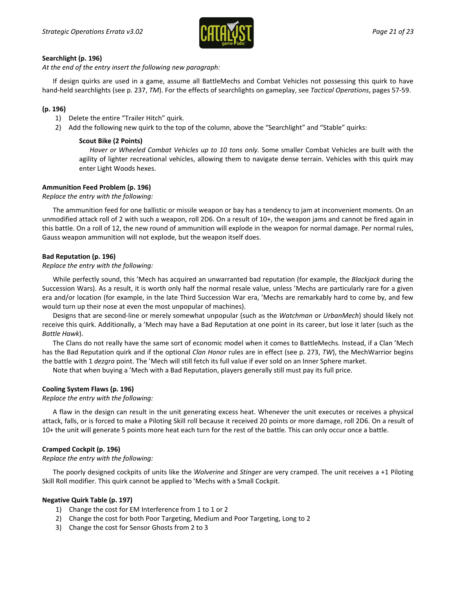

#### **Searchlight (p. 196)**

*At the end of the entry insert the following new paragraph:*

If design quirks are used in a game, assume all BattleMechs and Combat Vehicles not possessing this quirk to have hand-held searchlights (see p. 237, *TM*). For the effects of searchlights on gameplay, see *Tactical Operations*, pages 57-59.

# **(p. 196)**

- 1) Delete the entire "Trailer Hitch" quirk.
- 2) Add the following new quirk to the top of the column, above the "Searchlight" and "Stable" quirks:

#### **Scout Bike (2 Points)**

*Hover or Wheeled Combat Vehicles up to 10 tons only.* Some smaller Combat Vehicles are built with the agility of lighter recreational vehicles, allowing them to navigate dense terrain. Vehicles with this quirk may enter Light Woods hexes.

# **Ammunition Feed Problem (p. 196)**

*Replace the entry with the following:*

The ammunition feed for one ballistic or missile weapon or bay has a tendency to jam at inconvenient moments. On an unmodified attack roll of 2 with such a weapon, roll 2D6. On a result of 10+, the weapon jams and cannot be fired again in this battle. On a roll of 12, the new round of ammunition will explode in the weapon for normal damage. Per normal rules, Gauss weapon ammunition will not explode, but the weapon itself does.

#### **Bad Reputation (p. 196)**

#### *Replace the entry with the following:*

While perfectly sound, this 'Mech has acquired an unwarranted bad reputation (for example, the *Blackjack* during the Succession Wars). As a result, it is worth only half the normal resale value, unless 'Mechs are particularly rare for a given era and/or location (for example, in the late Third Succession War era, 'Mechs are remarkably hard to come by, and few would turn up their nose at even the most unpopular of machines).

Designs that are second-line or merely somewhat unpopular (such as the *Watchman* or *UrbanMech*) should likely not receive this quirk. Additionally, a 'Mech may have a Bad Reputation at one point in its career, but lose it later (such as the *Battle Hawk*).

The Clans do not really have the same sort of economic model when it comes to BattleMechs. Instead, if a Clan 'Mech has the Bad Reputation quirk and if the optional *Clan Honor* rules are in effect (see p. 273, *TW*), the MechWarrior begins the battle with 1 *dezgra* point. The 'Mech will still fetch its full value if ever sold on an Inner Sphere market.

Note that when buying a 'Mech with a Bad Reputation, players generally still must pay its full price.

# **Cooling System Flaws (p. 196)**

*Replace the entry with the following:*

A flaw in the design can result in the unit generating excess heat. Whenever the unit executes or receives a physical attack, falls, or is forced to make a Piloting Skill roll because it received 20 points or more damage, roll 2D6. On a result of 10+ the unit will generate 5 points more heat each turn for the rest of the battle. This can only occur once a battle.

# **Cramped Cockpit (p. 196)**

#### *Replace the entry with the following:*

The poorly designed cockpits of units like the *Wolverine* and *Stinger* are very cramped. The unit receives a +1 Piloting Skill Roll modifier. This quirk cannot be applied to 'Mechs with a Small Cockpit.

#### **Negative Quirk Table (p. 197)**

- 1) Change the cost for EM Interference from 1 to 1 or 2
- 2) Change the cost for both Poor Targeting, Medium and Poor Targeting, Long to 2
- 3) Change the cost for Sensor Ghosts from 2 to 3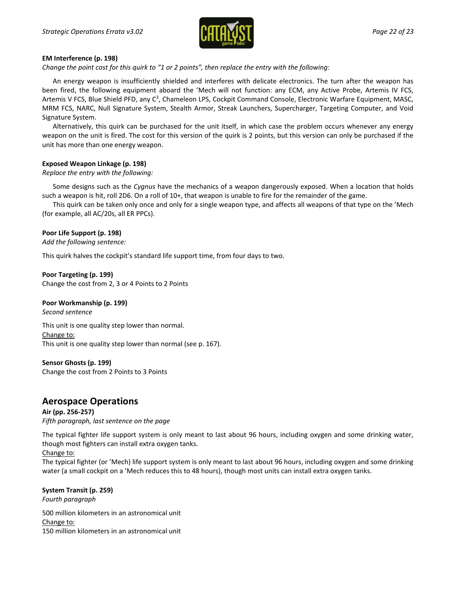

#### **EM Interference (p. 198)**

*Change the point cost for this quirk to "1 or 2 points", then replace the entry with the following:*

An energy weapon is insufficiently shielded and interferes with delicate electronics. The turn after the weapon has been fired, the following equipment aboard the 'Mech will not function: any ECM, any Active Probe, Artemis IV FCS, Artemis V FCS, Blue Shield PFD, any C<sup>3</sup>, Chameleon LPS, Cockpit Command Console, Electronic Warfare Equipment, MASC, MRM FCS, NARC, Null Signature System, Stealth Armor, Streak Launchers, Supercharger, Targeting Computer, and Void Signature System.

Alternatively, this quirk can be purchased for the unit itself, in which case the problem occurs whenever any energy weapon on the unit is fired. The cost for this version of the quirk is 2 points, but this version can only be purchased if the unit has more than one energy weapon.

#### **Exposed Weapon Linkage (p. 198)**

#### *Replace the entry with the following:*

Some designs such as the *Cygnus* have the mechanics of a weapon dangerously exposed. When a location that holds such a weapon is hit, roll 2D6. On a roll of 10+, that weapon is unable to fire for the remainder of the game.

This quirk can be taken only once and only for a single weapon type, and affects all weapons of that type on the 'Mech (for example, all AC/20s, all ER PPCs).

#### **Poor Life Support (p. 198)**

*Add the following sentence:*

This quirk halves the cockpit's standard life support time, from four days to two.

#### **Poor Targeting (p. 199)**

Change the cost from 2, 3 or 4 Points to 2 Points

#### **Poor Workmanship (p. 199)**

*Second sentence*

This unit is one quality step lower than normal. Change to: This unit is one quality step lower than normal (see p. 167).

# **Sensor Ghosts (p. 199)**

Change the cost from 2 Points to 3 Points

# **Aerospace Operations**

**Air (pp. 256-257)** *Fifth paragraph, last sentence on the page*

The typical fighter life support system is only meant to last about 96 hours, including oxygen and some drinking water, though most fighters can install extra oxygen tanks.

#### Change to:

The typical fighter (or 'Mech) life support system is only meant to last about 96 hours, including oxygen and some drinking water (a small cockpit on a 'Mech reduces this to 48 hours), though most units can install extra oxygen tanks.

**System Transit (p. 259)** *Fourth paragraph* 500 million kilometers in an astronomical unit Change to: 150 million kilometers in an astronomical unit